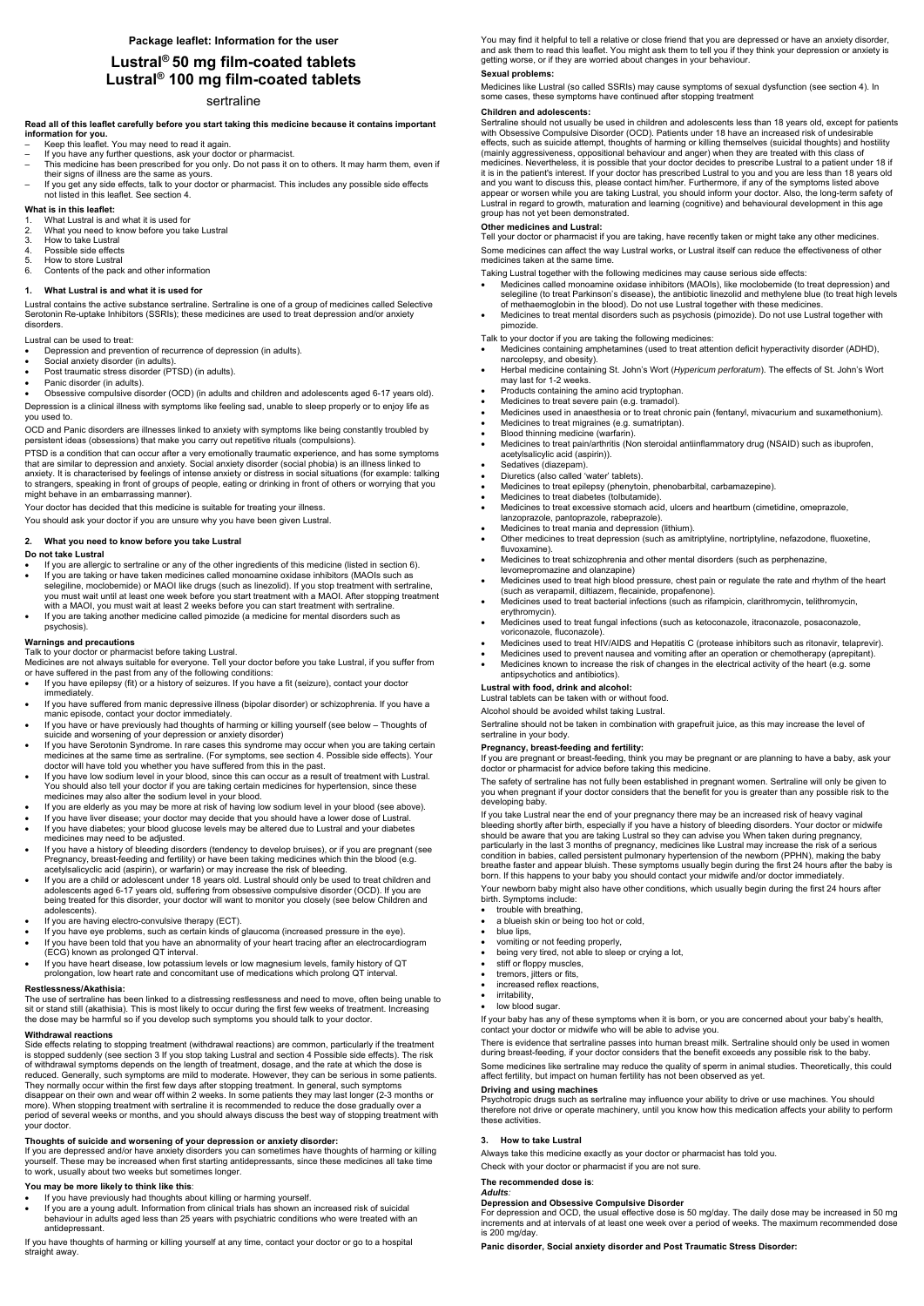# **Lustral® 50 mg film-coated tablets Lustral® 100 mg film-coated tablets**

## sertraline

**Read all of this leaflet carefully before you start taking this medicine because it contains important information for you.** 

- Keep this leaflet. You may need to read it again.
- If you have any further questions, ask your doctor or pharmacist.
- This medicine has been prescribed for you only. Do not pass it on to others. It may harm them, even if their signs of illness are the same as yours.
- If you get any side effects, talk to your doctor or pharmacist. This includes any possible side effects not listed in this leaflet. See section 4.

#### **What is in this leaflet:**

- 1. What Lustral is and what it is used for
- 2. What you need to know before you take Lustral
- 3. How to take Lustral<br>4. Possible side effect
- Possible side effects
- 5. How to store Lustral 6. Contents of the pack and other information

#### **1. What Lustral is and what it is used for**

Lustral contains the active substance sertraline. Sertraline is one of a group of medicines called Selective Serotonin Re-uptake Inhibitors (SSRIs); these medicines are used to treat depression and/or anxiety disorders.

Lustral can be used to treat:

- Depression and prevention of recurrence of depression (in adults).
- Social anxiety disorder (in adults).
- Post traumatic stress disorder (PTSD) (in adults).
- Panic disorder (in adults).

Obsessive compulsive disorder (OCD) (in adults and children and adolescents aged 6-17 years old).

Depression is a clinical illness with symptoms like feeling sad, unable to sleep properly or to enjoy life as you used to.

OCD and Panic disorders are illnesses linked to anxiety with symptoms like being constantly troubled by persistent ideas (obsessions) that make you carry out repetitive rituals (compulsions).

PTSD is a condition that can occur after a very emotionally traumatic experience, and has some symptoms that are similar to depression and anxiety. Social anxiety disorder (social phobia) is an illness linked to anxiety. It is characterised by feelings of intense anxiety or distress in social situations (for example: talking to strangers, speaking in front of groups of people, eating or drinking in front of others or worrying that you might behave in an embarrassing manner).

Your doctor has decided that this medicine is suitable for treating your illness.

You should ask your doctor if you are unsure why you have been given Lustral.

#### **2. What you need to know before you take Lustral**

#### **Do not take Lustral**

- If you are allergic to sertraline or any of the other ingredients of this medicine (listed in section 6). If you are taking or have taken medicines called monoamine oxidase inhibitors (MAOIs such as
- selegiline, moclobemide) or MAOI like drugs (such as linezolid). If you stop treatment with sertraline, you must wait until at least one week before you start treatment with a MAOI. After stopping treatment with a MAOI, you must wait at least 2 weeks before you can start treatment with sertraline.
- If you are taking another medicine called pimozide (a medicine for mental disorders such as psychosis).

#### **Warnings and precautions**

Talk to your doctor or pharmacist before taking Lustral.

Medicines are not always suitable for everyone. Tell your doctor before you take Lustral, if you suffer from or have suffered in the past from any of the following conditions:

- If you have epilepsy (fit) or a history of seizures. If you have a fit (seizure), contact your doctor immediately.
- If you have suffered from manic depressive illness (bipolar disorder) or schizophrenia. If you have a manic episode, contact your doctor immediately.
- If you have or have previously had thoughts of harming or killing yourself (see below Thoughts of suicide and worsening of your depression or anxiety disorder)
- If you have Serotonin Syndrome. In rare cases this syndrome may occur when you are taking certain medicines at the same time as sertraline. (For symptoms, see section 4. Possible side effects). Your doctor will have told you whether you have suffered from this in the past.
- If you have low sodium level in your blood, since this can occur as a result of treatment with Lustral. You should also tell your doctor if you are taking certain medicines for hypertension, since these medicines may also alter the sodium level in your blood.
- If you are elderly as you may be more at risk of having low sodium level in your blood (see above).
- If you have liver disease; your doctor may decide that you should have a lower dose of Lustral.
- If you have diabetes; your blood glucose levels may be altered due to Lustral and your diabetes medicines may need to be adjusted.
- If you have a history of bleeding disorders (tendency to develop bruises), or if you are pregnant (see Pregnancy, breast-feeding and fertility) or have been taking medicines which thin the blood (e.g. acetylsalicyclic acid (aspirin), or warfarin) or may increase the risk of bleeding.
- If you are a child or adolescent under 18 years old. Lustral should only be used to treat children and adolescents aged 6-17 years old, suffering from obsessive compulsive disorder (OCD). If you are being treated for this disorder, your doctor will want to monitor you closely (see below Children and adolescents).
- If you are having electro-convulsive therapy (ECT).
- If you have eye problems, such as certain kinds of glaucoma (increased pressure in the eye).
- If you have been told that you have an abnormality of your heart tracing after an electrocardiogram (ECG) known as prolonged QT interval.
- If you have heart disease, low potassium levels or low magnesium levels, family history of QT prolongation, low heart rate and concomitant use of medications which prolong QT interval.
- 

#### **Restlessness/Akathisia:**

The use of sertraline has been linked to a distressing restlessness and need to move, often being unable to sit or stand still (akathisia). This is most likely to occur during the first few weeks of treatment. Increasing the dose may be harmful so if you develop such symptoms you should talk to your doctor.

## **Withdrawal reactions**

Side effects relating to stopping treatment (withdrawal reactions) are common, particularly if the treatment is stopped suddenly (see section 3 If you stop taking Lustral and section 4 Possible side effects). The risk of withdrawal symptoms depends on the length of treatment, dosage, and the rate at which the dose is reduced. Generally, such symptoms are mild to moderate. However, they can be serious in some patients. They normally occur within the first few days after stopping treatment. In general, such symptoms disappear on their own and wear off within 2 weeks. In some patients they may last longer (2-3 months or more). When stopping treatment with sertraline it is recommended to reduce the dose gradually over a period of several weeks or months, and you should always discuss the best way of stopping treatment with your doctor.

- 
- irritability,
- low blood sugar.

#### **Thoughts of suicide and worsening of your depression or anxiety disorder:**

If you are depressed and/or have anxiety disorders you can sometimes have thoughts of harming or killing yourself. These may be increased when first starting antidepressants, since these medicines all take time to work, usually about two weeks but sometimes longer.

#### **You may be more likely to think like this**:

- If you have previously had thoughts about killing or harming yourself.
- If you are a young adult. Information from clinical trials has shown an increased risk of suicidal behaviour in adults aged less than 25 years with psychiatric conditions who were treated with an antidepressant.

If you have thoughts of harming or killing yourself at any time, contact your doctor or go to a hospital straight away.

You may find it helpful to tell a relative or close friend that you are depressed or have an anxiety disorder, and ask them to read this leaflet. You might ask them to tell you if they think your depression or anxiety is getting worse, or if they are worried about changes in your behaviour.

# **Sexual problems:**

Medicines like Lustral (so called SSRIs) may cause symptoms of sexual dysfunction (see section 4). In some cases, these symptoms have continued after stopping treatment

## **Children and adolescents:**

Sertraline should not usually be used in children and adolescents less than 18 years old, except for patients with Obsessive Compulsive Disorder (OCD). Patients under 18 have an increased risk of undesirable effects, such as suicide attempt, thoughts of harming or killing themselves (suicidal thoughts) and hostility (mainly aggressiveness, oppositional behaviour and anger) when they are treated with this class of medicines. Nevertheless, it is possible that your doctor decides to prescribe Lustral to a patient under 18 if it is in the patient's interest. If your doctor has prescribed Lustral to you and you are less than 18 years old and you want to discuss this, please contact him/her. Furthermore, if any of the symptoms listed above appear or worsen while you are taking Lustral, you should inform your doctor. Also, the long-term safety of Lustral in regard to growth, maturation and learning (cognitive) and behavioural development in this age group has not yet been demonstrated.

## **Other medicines and Lustral:**

Tell your doctor or pharmacist if you are taking, have recently taken or might take any other medicines. Some medicines can affect the way Lustral works, or Lustral itself can reduce the effectiveness of other medicines taken at the same time.

Taking Lustral together with the following medicines may cause serious side effects:

- Medicines called monoamine oxidase inhibitors (MAOIs), like moclobemide (to treat depression) and selegiline (to treat Parkinson's disease), the antibiotic linezolid and methylene blue (to treat high levels of methaemoglobin in the blood). Do not use Lustral together with these medicines.
- Medicines to treat mental disorders such as psychosis (pimozide). Do not use Lustral together with pimozide.

Talk to your doctor if you are taking the following medicines:

- Medicines containing amphetamines (used to treat attention deficit hyperactivity disorder (ADHD), narcolepsy, and obesity).
- Herbal medicine containing St. John's Wort (*Hypericum perforatum*). The effects of St. John's Wort may last for 1-2 weeks.
- Products containing the amino acid tryptophan.
- Medicines to treat severe pain (e.g. tramadol).
- Medicines used in anaesthesia or to treat chronic pain (fentanyl, mivacurium and suxamethonium).
- Medicines to treat migraines (e.g. sumatriptan).
- Blood thinning medicine (warfarin).
- Medicines to treat pain/arthritis (Non steroidal antiinflammatory drug (NSAID) such as ibuprofen, acetylsalicylic acid (aspirin)).
- Sedatives (diazepam).
- Diuretics (also called 'water' tablets).
- Medicines to treat epilepsy (phenytoin, phenobarbital, carbamazepine).
- Medicines to treat diabetes (tolbutamide).
- Medicines to treat excessive stomach acid, ulcers and heartburn (cimetidine, omeprazole, lanzoprazole, pantoprazole, rabeprazole).
- Medicines to treat mania and depression (lithium).
- Other medicines to treat depression (such as amitriptyline, nortriptyline, nefazodone, fluoxetine, fluvoxamine).
- Medicines to treat schizophrenia and other mental disorders (such as perphenazine, levomepromazine and olanzapine)
- Medicines used to treat high blood pressure, chest pain or regulate the rate and rhythm of the heart (such as verapamil, diltiazem, flecainide, propafenone).
- Medicines used to treat bacterial infections (such as rifampicin, clarithromycin, telithromycin, erythromycin).
- Medicines used to treat fungal infections (such as ketoconazole, itraconazole, posaconazole, voriconazole, fluconazole).
- Medicines used to treat HIV/AIDS and Hepatitis C (protease inhibitors such as ritonavir, telaprevir).
- Medicines used to prevent nausea and vomiting after an operation or chemotherapy (aprepitant).
- Medicines known to increase the risk of changes in the electrical activity of the heart (e.g. some antipsychotics and antibiotics).

#### **Lustral with food, drink and alcohol:**

Lustral tablets can be taken with or without food.

Alcohol should be avoided whilst taking Lustral.

Sertraline should not be taken in combination with grapefruit juice, as this may increase the level of sertraline in your body.

#### **Pregnancy, breast-feeding and fertility:**

If you are pregnant or breast-feeding, think you may be pregnant or are planning to have a baby, ask your doctor or pharmacist for advice before taking this medicine.

The safety of sertraline has not fully been established in pregnant women. Sertraline will only be given to you when pregnant if your doctor considers that the benefit for you is greater than any possible risk to the developing baby.

If you take Lustral near the end of your pregnancy there may be an increased risk of heavy vaginal bleeding shortly after birth, especially if you have a history of bleeding disorders. Your doctor or midwife should be aware that you are taking Lustral so they can advise you When taken during pregnancy, particularly in the last 3 months of pregnancy, medicines like Lustral may increase the risk of a serious condition in babies, called persistent pulmonary hypertension of the newborn (PPHN), making the baby breathe faster and appear bluish. These symptoms usually begin during the first 24 hours after the baby is born. If this happens to your baby you should contact your midwife and/or doctor immediately.

Your newborn baby might also have other conditions, which usually begin during the first 24 hours after birth. Symptoms include:

- trouble with breathing,
- a blueish skin or being too hot or cold,
- blue lips,
- vomiting or not feeding properly,
- being very tired, not able to sleep or crying a lot,
- stiff or floppy muscles,
- tremors, jitters or fits,
- increased reflex reacti

If your baby has any of these symptoms when it is born, or you are concerned about your baby's health, contact your doctor or midwife who will be able to advise you.

There is evidence that sertraline passes into human breast milk. Sertraline should only be used in women during breast-feeding, if your doctor considers that the benefit exceeds any possible risk to the baby.

Some medicines like sertraline may reduce the quality of sperm in animal studies. Theoretically, this could affect fertility, but impact on human fertility has not been observed as yet.

#### **Driving and using machines**

Psychotropic drugs such as sertraline may influence your ability to drive or use machines. You should therefore not drive or operate machinery, until you know how this medication affects your ability to perform these activities.

#### **3. How to take Lustral**

Always take this medicine exactly as your doctor or pharmacist has told you.

Check with your doctor or pharmacist if you are not sure.

## **The recommended dose is**:

#### *Adults:*

#### **Depression and Obsessive Compulsive Disorder**

For depression and OCD, the usual effective dose is 50 mg/day. The daily dose may be increased in 50 mg increments and at intervals of at least one week over a period of weeks. The maximum recommended dose is 200 mg/day.

**Panic disorder, Social anxiety disorder and Post Traumatic Stress Disorder:**